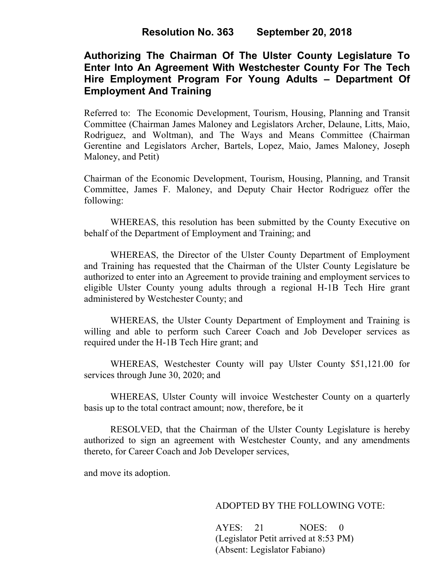# **Authorizing The Chairman Of The Ulster County Legislature To Enter Into An Agreement With Westchester County For The Tech Hire Employment Program For Young Adults – Department Of Employment And Training**

Referred to: The Economic Development, Tourism, Housing, Planning and Transit Committee (Chairman James Maloney and Legislators Archer, Delaune, Litts, Maio, Rodriguez, and Woltman), and The Ways and Means Committee (Chairman Gerentine and Legislators Archer, Bartels, Lopez, Maio, James Maloney, Joseph Maloney, and Petit)

Chairman of the Economic Development, Tourism, Housing, Planning, and Transit Committee, James F. Maloney, and Deputy Chair Hector Rodriguez offer the following:

WHEREAS, this resolution has been submitted by the County Executive on behalf of the Department of Employment and Training; and

WHEREAS, the Director of the Ulster County Department of Employment and Training has requested that the Chairman of the Ulster County Legislature be authorized to enter into an Agreement to provide training and employment services to eligible Ulster County young adults through a regional H-1B Tech Hire grant administered by Westchester County; and

WHEREAS, the Ulster County Department of Employment and Training is willing and able to perform such Career Coach and Job Developer services as required under the H-1B Tech Hire grant; and

WHEREAS, Westchester County will pay Ulster County \$51,121.00 for services through June 30, 2020; and

WHEREAS, Ulster County will invoice Westchester County on a quarterly basis up to the total contract amount; now, therefore, be it

RESOLVED, that the Chairman of the Ulster County Legislature is hereby authorized to sign an agreement with Westchester County, and any amendments thereto, for Career Coach and Job Developer services,

and move its adoption.

## ADOPTED BY THE FOLLOWING VOTE:

AYES: 21 NOES: 0 (Legislator Petit arrived at 8:53 PM) (Absent: Legislator Fabiano)